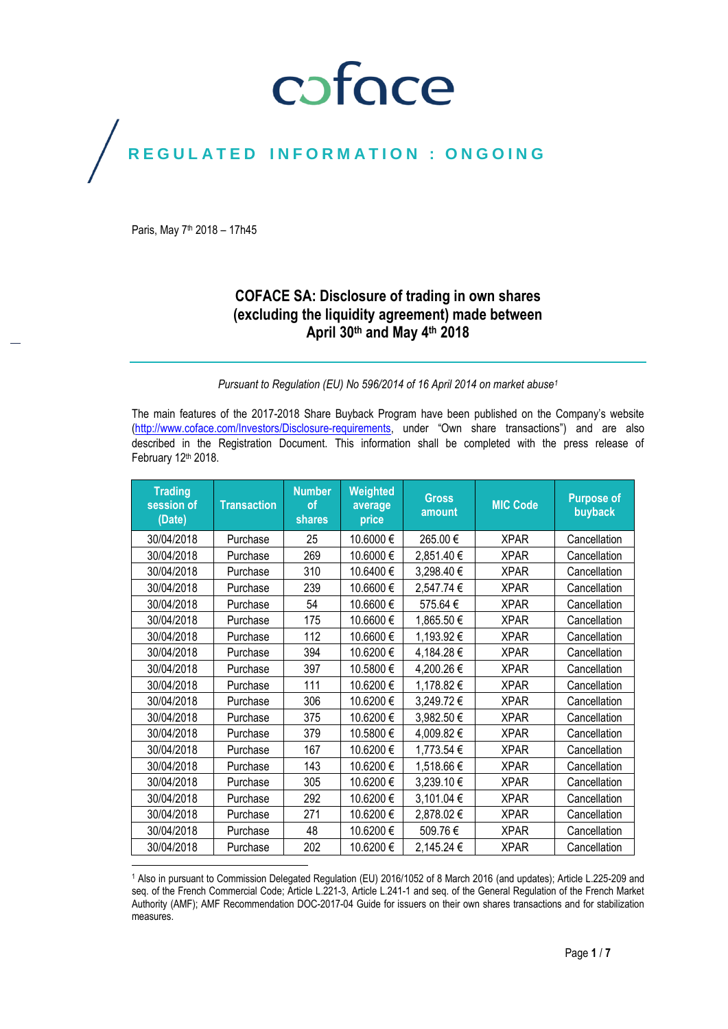# coface

# REGULATED INFORMATION : ONGOING

Paris, May 7<sup>th</sup> 2018 - 17h45

# **COFACE SA: Disclosure of trading in own shares (excluding the liquidity agreement) made between April 30th and May 4 th 2018**

# *Pursuant to Regulation (EU) No 596/2014 of 16 April 2014 on market abuse<sup>1</sup>*

The main features of the 2017-2018 Share Buyback Program have been published on the Company's website [\(http://www.coface.com/Investors/Disclosure-requirements](http://www.coface.com/Investors/Disclosure-requirements), under "Own share transactions") and are also described in the Registration Document. This information shall be completed with the press release of February 12th 2018.

| <b>Trading</b><br>session of<br>(Date) | <b>Transaction</b> | <b>Number</b><br>of<br>shares | Weighted<br>average<br>price | <b>Gross</b><br>amount | <b>MIC Code</b> | <b>Purpose of</b><br>buyback |
|----------------------------------------|--------------------|-------------------------------|------------------------------|------------------------|-----------------|------------------------------|
| 30/04/2018                             | Purchase           | 25                            | 10.6000€                     | 265.00€                | <b>XPAR</b>     | Cancellation                 |
| 30/04/2018                             | Purchase           | 269                           | 10.6000€                     | 2,851.40€              | <b>XPAR</b>     | Cancellation                 |
| 30/04/2018                             | Purchase           | 310                           | 10.6400€                     | 3,298.40€              | <b>XPAR</b>     | Cancellation                 |
| 30/04/2018                             | Purchase           | 239                           | 10.6600€                     | 2,547.74 €             | <b>XPAR</b>     | Cancellation                 |
| 30/04/2018                             | Purchase           | 54                            | 10.6600€                     | 575.64 €               | <b>XPAR</b>     | Cancellation                 |
| 30/04/2018                             | Purchase           | 175                           | 10.6600€                     | 1,865.50€              | <b>XPAR</b>     | Cancellation                 |
| 30/04/2018                             | Purchase           | 112                           | 10.6600€                     | 1,193.92 €             | <b>XPAR</b>     | Cancellation                 |
| 30/04/2018                             | Purchase           | 394                           | 10.6200 €                    | 4,184.28€              | <b>XPAR</b>     | Cancellation                 |
| 30/04/2018                             | Purchase           | 397                           | 10.5800€                     | 4,200.26€              | <b>XPAR</b>     | Cancellation                 |
| 30/04/2018                             | Purchase           | 111                           | 10.6200€                     | 1,178.82€              | <b>XPAR</b>     | Cancellation                 |
| 30/04/2018                             | Purchase           | 306                           | 10.6200€                     | 3,249.72€              | <b>XPAR</b>     | Cancellation                 |
| 30/04/2018                             | Purchase           | 375                           | 10.6200€                     | 3,982.50€              | <b>XPAR</b>     | Cancellation                 |
| 30/04/2018                             | Purchase           | 379                           | 10.5800€                     | 4,009.82€              | <b>XPAR</b>     | Cancellation                 |
| 30/04/2018                             | Purchase           | 167                           | 10.6200€                     | 1,773.54 €             | <b>XPAR</b>     | Cancellation                 |
| 30/04/2018                             | Purchase           | 143                           | 10.6200€                     | 1,518.66€              | <b>XPAR</b>     | Cancellation                 |
| 30/04/2018                             | Purchase           | 305                           | 10.6200€                     | 3,239.10€              | <b>XPAR</b>     | Cancellation                 |
| 30/04/2018                             | Purchase           | 292                           | 10.6200€                     | 3,101.04 €             | <b>XPAR</b>     | Cancellation                 |
| 30/04/2018                             | Purchase           | 271                           | 10.6200€                     | 2,878.02€              | <b>XPAR</b>     | Cancellation                 |
| 30/04/2018                             | Purchase           | 48                            | 10.6200€                     | 509.76€                | <b>XPAR</b>     | Cancellation                 |
| 30/04/2018                             | Purchase           | 202                           | 10.6200 €                    | 2,145.24 €             | <b>XPAR</b>     | Cancellation                 |

<sup>1</sup> Also in pursuant to Commission Delegated Regulation (EU) 2016/1052 of 8 March 2016 (and updates); Article L.225-209 and seq. of the French Commercial Code; Article L.221-3, Article L.241-1 and seq. of the General Regulation of the French Market Authority (AMF); AMF Recommendation DOC-2017-04 Guide for issuers on their own shares transactions and for stabilization measures.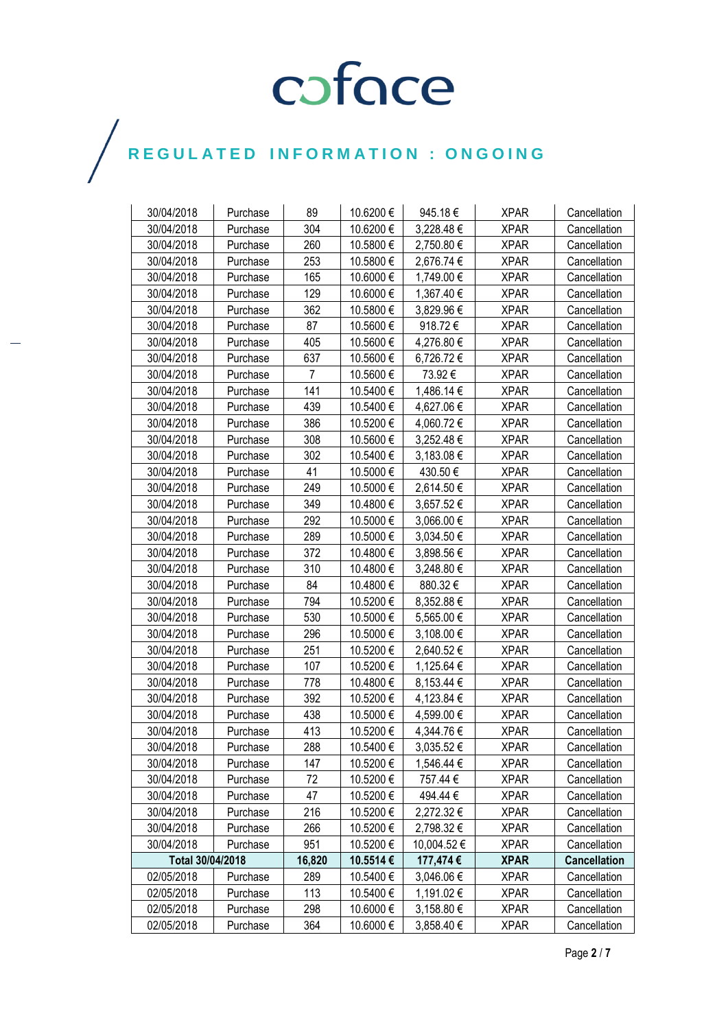| 30/04/2018       | Purchase | 89             | 10.6200 € | 945.18€     | <b>XPAR</b> | Cancellation        |
|------------------|----------|----------------|-----------|-------------|-------------|---------------------|
| 30/04/2018       | Purchase | 304            | 10.6200€  | 3,228.48€   | <b>XPAR</b> | Cancellation        |
| 30/04/2018       | Purchase | 260            | 10.5800€  | 2,750.80 €  | <b>XPAR</b> | Cancellation        |
| 30/04/2018       | Purchase | 253            | 10.5800€  | 2,676.74 €  | <b>XPAR</b> | Cancellation        |
| 30/04/2018       | Purchase | 165            | 10.6000€  | 1,749.00 €  | <b>XPAR</b> | Cancellation        |
| 30/04/2018       | Purchase | 129            | 10.6000 € | 1,367.40 €  | <b>XPAR</b> | Cancellation        |
| 30/04/2018       | Purchase | 362            | 10.5800€  | 3,829.96 €  | <b>XPAR</b> | Cancellation        |
| 30/04/2018       | Purchase | 87             | 10.5600€  | 918.72€     | <b>XPAR</b> | Cancellation        |
| 30/04/2018       | Purchase | 405            | 10.5600€  | 4,276.80€   | <b>XPAR</b> | Cancellation        |
| 30/04/2018       | Purchase | 637            | 10.5600€  | 6,726.72€   | <b>XPAR</b> | Cancellation        |
| 30/04/2018       | Purchase | $\overline{7}$ | 10.5600€  | 73.92€      | <b>XPAR</b> | Cancellation        |
| 30/04/2018       | Purchase | 141            | 10.5400 € | 1,486.14 €  | <b>XPAR</b> | Cancellation        |
| 30/04/2018       | Purchase | 439            | 10.5400 € | 4,627.06 €  | <b>XPAR</b> | Cancellation        |
| 30/04/2018       | Purchase | 386            | 10.5200€  | 4,060.72€   | <b>XPAR</b> | Cancellation        |
| 30/04/2018       | Purchase | 308            | 10.5600€  | 3,252.48€   | <b>XPAR</b> | Cancellation        |
| 30/04/2018       | Purchase | 302            | 10.5400€  | 3,183.08 €  | <b>XPAR</b> | Cancellation        |
| 30/04/2018       | Purchase | 41             | 10.5000 € | 430.50€     | <b>XPAR</b> | Cancellation        |
| 30/04/2018       | Purchase | 249            | 10.5000 € | 2,614.50€   | <b>XPAR</b> | Cancellation        |
| 30/04/2018       | Purchase | 349            | 10.4800€  | 3,657.52€   | <b>XPAR</b> | Cancellation        |
| 30/04/2018       | Purchase | 292            | 10.5000€  | 3,066.00 €  | <b>XPAR</b> | Cancellation        |
| 30/04/2018       | Purchase | 289            | 10.5000 € | 3,034.50 €  | <b>XPAR</b> | Cancellation        |
| 30/04/2018       | Purchase | 372            | 10.4800€  | 3,898.56 €  | <b>XPAR</b> | Cancellation        |
| 30/04/2018       | Purchase | 310            | 10.4800 € | 3,248.80 €  | <b>XPAR</b> | Cancellation        |
| 30/04/2018       | Purchase | 84             | 10.4800€  | 880.32€     | <b>XPAR</b> | Cancellation        |
| 30/04/2018       | Purchase | 794            | 10.5200€  | 8,352.88 €  | <b>XPAR</b> | Cancellation        |
| 30/04/2018       | Purchase | 530            | 10.5000€  | 5,565.00 €  | <b>XPAR</b> | Cancellation        |
| 30/04/2018       | Purchase | 296            | 10.5000 € | 3,108.00 €  | <b>XPAR</b> | Cancellation        |
| 30/04/2018       | Purchase | 251            | 10.5200€  | 2,640.52€   | <b>XPAR</b> | Cancellation        |
| 30/04/2018       | Purchase | 107            | 10.5200€  | 1,125.64 €  | <b>XPAR</b> | Cancellation        |
| 30/04/2018       | Purchase | 778            | 10.4800 € | 8,153.44 €  | <b>XPAR</b> | Cancellation        |
| 30/04/2018       | Purchase | 392            | 10.5200€  | 4,123.84 €  | <b>XPAR</b> | Cancellation        |
| 30/04/2018       | Purchase | 438            | 10.5000€  | 4,599.00 €  | <b>XPAR</b> | Cancellation        |
| 30/04/2018       | Purchase | 413            | 10.5200€  | 4,344.76€   | <b>XPAR</b> | Cancellation        |
| 30/04/2018       | Purchase | 288            | 10.5400€  | 3,035.52€   | <b>XPAR</b> | Cancellation        |
| 30/04/2018       | Purchase | 147            | 10.5200€  | 1,546.44 €  | <b>XPAR</b> | Cancellation        |
| 30/04/2018       | Purchase | 72             | 10.5200€  | 757.44 €    | <b>XPAR</b> | Cancellation        |
| 30/04/2018       | Purchase | 47             | 10.5200€  | 494.44€     | <b>XPAR</b> | Cancellation        |
| 30/04/2018       | Purchase | 216            | 10.5200€  | 2,272.32€   | <b>XPAR</b> | Cancellation        |
| 30/04/2018       | Purchase | 266            | 10.5200€  | 2,798.32 €  | <b>XPAR</b> | Cancellation        |
| 30/04/2018       | Purchase | 951            | 10.5200€  | 10,004.52 € | <b>XPAR</b> | Cancellation        |
| Total 30/04/2018 |          | 16,820         | 10.5514 € | 177,474 €   | <b>XPAR</b> | <b>Cancellation</b> |
| 02/05/2018       | Purchase | 289            | 10.5400€  | 3,046.06 €  | <b>XPAR</b> | Cancellation        |
| 02/05/2018       | Purchase | 113            | 10.5400 € | 1,191.02 €  | <b>XPAR</b> | Cancellation        |
| 02/05/2018       | Purchase | 298            | 10.6000 € | 3,158.80 €  | <b>XPAR</b> | Cancellation        |
| 02/05/2018       | Purchase | 364            | 10.6000 € | 3,858.40€   | <b>XPAR</b> | Cancellation        |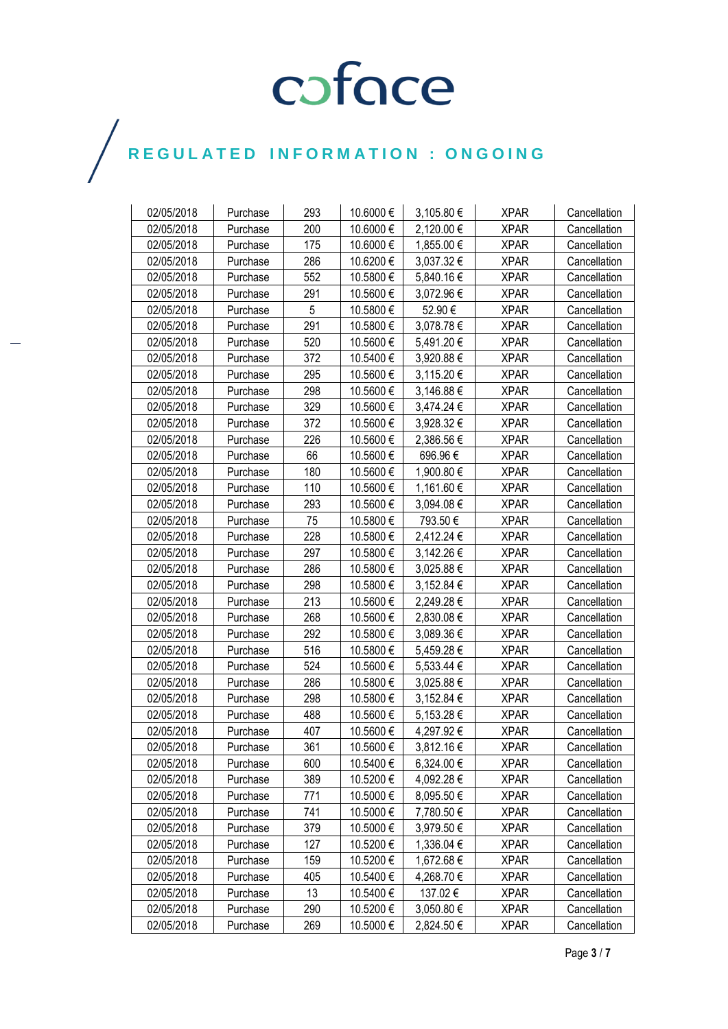| 02/05/2018 | Purchase | 293 | 10.6000 € | 3,105.80 € | <b>XPAR</b> | Cancellation |
|------------|----------|-----|-----------|------------|-------------|--------------|
| 02/05/2018 | Purchase | 200 | 10.6000 € | 2,120.00 € | <b>XPAR</b> | Cancellation |
| 02/05/2018 | Purchase | 175 | 10.6000 € | 1,855.00 € | <b>XPAR</b> | Cancellation |
| 02/05/2018 | Purchase | 286 | 10.6200€  | 3,037.32 € | <b>XPAR</b> | Cancellation |
| 02/05/2018 | Purchase | 552 | 10.5800€  | 5,840.16€  | <b>XPAR</b> | Cancellation |
| 02/05/2018 | Purchase | 291 | 10.5600€  | 3,072.96 € | <b>XPAR</b> | Cancellation |
| 02/05/2018 | Purchase | 5   | 10.5800€  | 52.90€     | <b>XPAR</b> | Cancellation |
| 02/05/2018 | Purchase | 291 | 10.5800€  | 3,078.78€  | <b>XPAR</b> | Cancellation |
| 02/05/2018 | Purchase | 520 | 10.5600€  | 5,491.20€  | <b>XPAR</b> | Cancellation |
| 02/05/2018 | Purchase | 372 | 10.5400€  | 3,920.88€  | <b>XPAR</b> | Cancellation |
| 02/05/2018 | Purchase | 295 | 10.5600€  | 3,115.20 € | <b>XPAR</b> | Cancellation |
| 02/05/2018 | Purchase | 298 | 10.5600€  | 3,146.88 € | <b>XPAR</b> | Cancellation |
| 02/05/2018 | Purchase | 329 | 10.5600€  | 3,474.24 € | <b>XPAR</b> | Cancellation |
| 02/05/2018 | Purchase | 372 | 10.5600€  | 3,928.32€  | <b>XPAR</b> | Cancellation |
| 02/05/2018 | Purchase | 226 | 10.5600€  | 2,386.56€  | <b>XPAR</b> | Cancellation |
| 02/05/2018 | Purchase | 66  | 10.5600€  | 696.96€    | <b>XPAR</b> | Cancellation |
| 02/05/2018 | Purchase | 180 | 10.5600€  | 1,900.80 € | <b>XPAR</b> | Cancellation |
| 02/05/2018 | Purchase | 110 | 10.5600€  | 1,161.60 € | <b>XPAR</b> | Cancellation |
| 02/05/2018 | Purchase | 293 | 10.5600€  | 3,094.08€  | <b>XPAR</b> | Cancellation |
| 02/05/2018 | Purchase | 75  | 10.5800€  | 793.50€    | <b>XPAR</b> | Cancellation |
| 02/05/2018 | Purchase | 228 | 10.5800€  | 2,412.24 € | <b>XPAR</b> | Cancellation |
| 02/05/2018 | Purchase | 297 | 10.5800€  | 3,142.26 € | <b>XPAR</b> | Cancellation |
| 02/05/2018 | Purchase | 286 | 10.5800 € | 3,025.88 € | <b>XPAR</b> | Cancellation |
| 02/05/2018 | Purchase | 298 | 10.5800€  | 3,152.84 € | <b>XPAR</b> | Cancellation |
| 02/05/2018 | Purchase | 213 | 10.5600€  | 2,249.28€  | <b>XPAR</b> | Cancellation |
| 02/05/2018 | Purchase | 268 | 10.5600€  | 2,830.08€  | <b>XPAR</b> | Cancellation |
| 02/05/2018 | Purchase | 292 | 10.5800 € | 3,089.36 € | <b>XPAR</b> | Cancellation |
| 02/05/2018 | Purchase | 516 | 10.5800 € | 5,459.28€  | <b>XPAR</b> | Cancellation |
| 02/05/2018 | Purchase | 524 | 10.5600€  | 5,533.44 € | <b>XPAR</b> | Cancellation |
| 02/05/2018 | Purchase | 286 | 10.5800€  | 3,025.88 € | <b>XPAR</b> | Cancellation |
| 02/05/2018 | Purchase | 298 | 10.5800 € | 3,152.84 € | <b>XPAR</b> | Cancellation |
| 02/05/2018 | Purchase | 488 | 10.5600€  | 5,153.28 € | <b>XPAR</b> | Cancellation |
| 02/05/2018 | Purchase | 407 | 10.5600€  | 4,297.92€  | <b>XPAR</b> | Cancellation |
| 02/05/2018 | Purchase | 361 | 10.5600€  | 3,812.16€  | <b>XPAR</b> | Cancellation |
| 02/05/2018 | Purchase | 600 | 10.5400€  | 6,324.00 € | <b>XPAR</b> | Cancellation |
| 02/05/2018 | Purchase | 389 | 10.5200€  | 4,092.28 € | <b>XPAR</b> | Cancellation |
| 02/05/2018 | Purchase | 771 | 10.5000 € | 8,095.50 € | <b>XPAR</b> | Cancellation |
| 02/05/2018 | Purchase | 741 | 10.5000€  | 7,780.50 € | <b>XPAR</b> | Cancellation |
| 02/05/2018 | Purchase | 379 | 10.5000€  | 3,979.50€  | <b>XPAR</b> | Cancellation |
| 02/05/2018 | Purchase | 127 | 10.5200€  | 1,336.04 € | <b>XPAR</b> | Cancellation |
| 02/05/2018 | Purchase | 159 | 10.5200 € | 1,672.68 € | <b>XPAR</b> | Cancellation |
| 02/05/2018 | Purchase | 405 | 10.5400€  | 4,268.70 € | <b>XPAR</b> | Cancellation |
| 02/05/2018 | Purchase | 13  | 10.5400 € | 137.02€    | <b>XPAR</b> | Cancellation |
| 02/05/2018 | Purchase | 290 | 10.5200€  | 3,050.80 € | <b>XPAR</b> | Cancellation |
| 02/05/2018 | Purchase | 269 | 10.5000 € | 2,824.50€  | <b>XPAR</b> | Cancellation |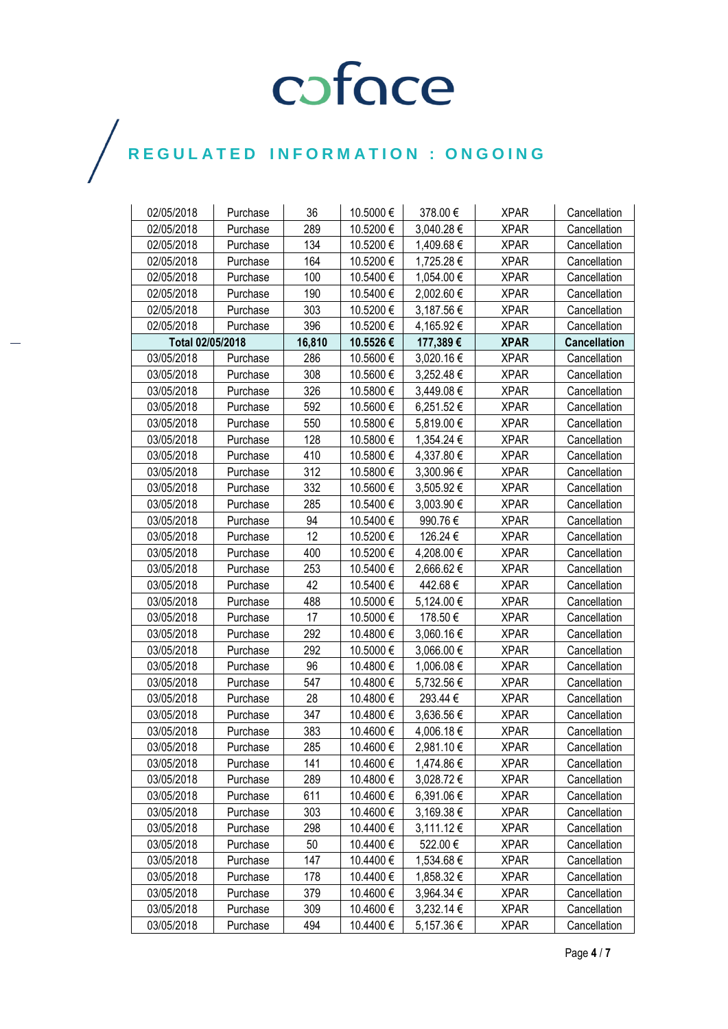| 02/05/2018       | Purchase | 36     | 10.5000 € | 378.00€    | <b>XPAR</b> | Cancellation        |
|------------------|----------|--------|-----------|------------|-------------|---------------------|
| 02/05/2018       | Purchase | 289    | 10.5200€  | 3,040.28€  | <b>XPAR</b> | Cancellation        |
| 02/05/2018       | Purchase | 134    | 10.5200€  | 1,409.68 € | <b>XPAR</b> | Cancellation        |
| 02/05/2018       | Purchase | 164    | 10.5200€  | 1,725.28€  | <b>XPAR</b> | Cancellation        |
| 02/05/2018       | Purchase | 100    | 10.5400€  | 1,054.00 € | <b>XPAR</b> | Cancellation        |
| 02/05/2018       | Purchase | 190    | 10.5400 € | 2,002.60 € | <b>XPAR</b> | Cancellation        |
| 02/05/2018       | Purchase | 303    | 10.5200€  | 3,187.56 € | <b>XPAR</b> | Cancellation        |
| 02/05/2018       | Purchase | 396    | 10.5200€  | 4,165.92€  | <b>XPAR</b> | Cancellation        |
| Total 02/05/2018 |          | 16,810 | 10.5526€  | 177,389€   | <b>XPAR</b> | <b>Cancellation</b> |
| 03/05/2018       | Purchase | 286    | 10.5600€  | 3,020.16€  | <b>XPAR</b> | Cancellation        |
| 03/05/2018       | Purchase | 308    | 10.5600€  | 3,252.48€  | <b>XPAR</b> | Cancellation        |
| 03/05/2018       | Purchase | 326    | 10.5800 € | 3,449.08 € | <b>XPAR</b> | Cancellation        |
| 03/05/2018       | Purchase | 592    | 10.5600€  | 6,251.52€  | <b>XPAR</b> | Cancellation        |
| 03/05/2018       | Purchase | 550    | 10.5800€  | 5,819.00 € | <b>XPAR</b> | Cancellation        |
| 03/05/2018       | Purchase | 128    | 10.5800€  | 1,354.24 € | <b>XPAR</b> | Cancellation        |
| 03/05/2018       | Purchase | 410    | 10.5800 € | 4,337.80 € | <b>XPAR</b> | Cancellation        |
| 03/05/2018       | Purchase | 312    | 10.5800 € | 3,300.96 € | <b>XPAR</b> | Cancellation        |
| 03/05/2018       | Purchase | 332    | 10.5600€  | 3,505.92€  | <b>XPAR</b> | Cancellation        |
| 03/05/2018       | Purchase | 285    | 10.5400€  | 3,003.90 € | <b>XPAR</b> | Cancellation        |
| 03/05/2018       | Purchase | 94     | 10.5400€  | 990.76€    | <b>XPAR</b> | Cancellation        |
| 03/05/2018       | Purchase | 12     | 10.5200€  | 126.24 €   | <b>XPAR</b> | Cancellation        |
| 03/05/2018       | Purchase | 400    | 10.5200 € | 4,208.00 € | <b>XPAR</b> | Cancellation        |
| 03/05/2018       | Purchase | 253    | 10.5400€  | 2,666.62€  | <b>XPAR</b> | Cancellation        |
| 03/05/2018       | Purchase | 42     | 10.5400€  | 442.68€    | <b>XPAR</b> | Cancellation        |
| 03/05/2018       | Purchase | 488    | 10.5000€  | 5,124.00€  | <b>XPAR</b> | Cancellation        |
| 03/05/2018       | Purchase | 17     | 10.5000€  | 178.50€    | <b>XPAR</b> | Cancellation        |
| 03/05/2018       | Purchase | 292    | 10.4800 € | 3,060.16€  | <b>XPAR</b> | Cancellation        |
| 03/05/2018       | Purchase | 292    | 10.5000€  | 3,066.00 € | <b>XPAR</b> | Cancellation        |
| 03/05/2018       | Purchase | 96     | 10.4800€  | 1,006.08€  | <b>XPAR</b> | Cancellation        |
| 03/05/2018       | Purchase | 547    | 10.4800 € | 5,732.56 € | <b>XPAR</b> | Cancellation        |
| 03/05/2018       | Purchase | 28     | 10.4800 € | 293.44 €   | <b>XPAR</b> | Cancellation        |
| 03/05/2018       | Purchase | 347    | 10.4800€  | 3,636.56€  | <b>XPAR</b> | Cancellation        |
| 03/05/2018       | Purchase | 383    | 10.4600€  | 4,006.18€  | <b>XPAR</b> | Cancellation        |
| 03/05/2018       | Purchase | 285    | 10.4600€  | 2,981.10€  | <b>XPAR</b> | Cancellation        |
| 03/05/2018       | Purchase | 141    | 10.4600 € | 1,474.86 € | <b>XPAR</b> | Cancellation        |
| 03/05/2018       | Purchase | 289    | 10.4800 € | 3,028.72€  | <b>XPAR</b> | Cancellation        |
| 03/05/2018       | Purchase | 611    | 10.4600 € | 6,391.06€  | <b>XPAR</b> | Cancellation        |
| 03/05/2018       | Purchase | 303    | 10.4600 € | 3,169.38 € | <b>XPAR</b> | Cancellation        |
| 03/05/2018       | Purchase | 298    | 10.4400€  | 3,111.12 € | <b>XPAR</b> | Cancellation        |
| 03/05/2018       | Purchase | 50     | 10.4400€  | 522.00€    | <b>XPAR</b> | Cancellation        |
| 03/05/2018       | Purchase | 147    | 10.4400 € | 1,534.68 € | <b>XPAR</b> | Cancellation        |
| 03/05/2018       | Purchase | 178    | 10.4400 € | 1,858.32 € | <b>XPAR</b> | Cancellation        |
| 03/05/2018       | Purchase | 379    | 10.4600 € | 3,964.34 € | <b>XPAR</b> | Cancellation        |
| 03/05/2018       | Purchase | 309    | 10.4600€  | 3,232.14 € | <b>XPAR</b> | Cancellation        |
| 03/05/2018       | Purchase | 494    | 10.4400 € | 5,157.36 € | <b>XPAR</b> | Cancellation        |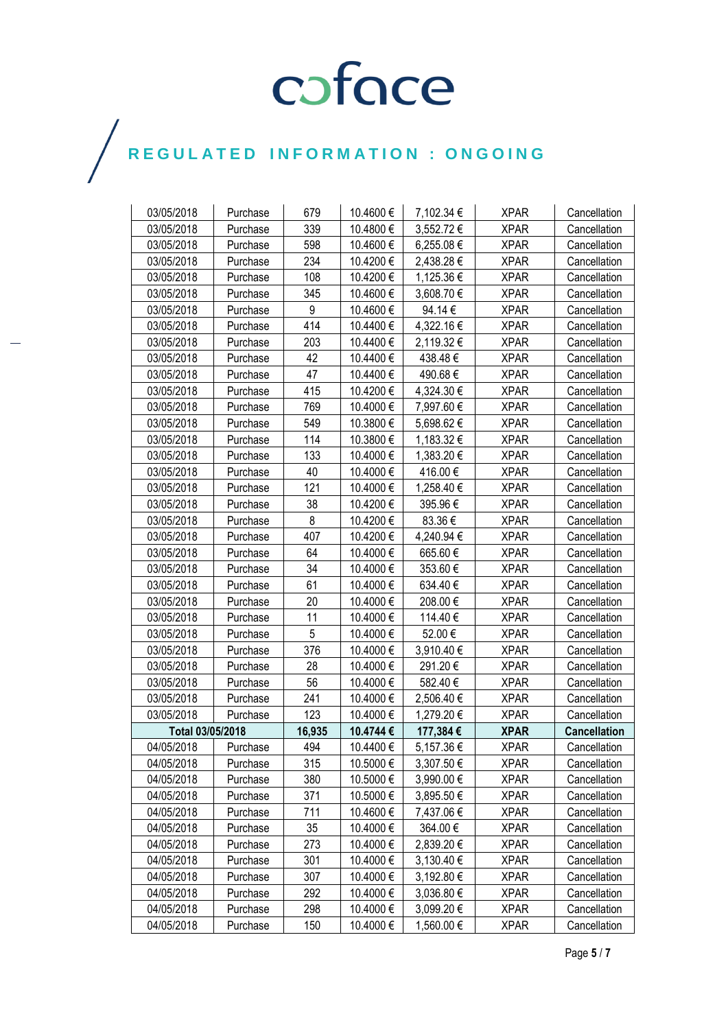| 03/05/2018       | Purchase | 679    | 10.4600 € | 7,102.34 € | <b>XPAR</b> | Cancellation        |
|------------------|----------|--------|-----------|------------|-------------|---------------------|
| 03/05/2018       | Purchase | 339    | 10.4800€  | 3,552.72€  | <b>XPAR</b> | Cancellation        |
| 03/05/2018       | Purchase | 598    | 10.4600€  | 6,255.08€  | <b>XPAR</b> | Cancellation        |
| 03/05/2018       | Purchase | 234    | 10.4200€  | 2,438.28€  | <b>XPAR</b> | Cancellation        |
| 03/05/2018       | Purchase | 108    | 10.4200€  | 1,125.36 € | <b>XPAR</b> | Cancellation        |
| 03/05/2018       | Purchase | 345    | 10.4600€  | 3,608.70 € | <b>XPAR</b> | Cancellation        |
| 03/05/2018       | Purchase | 9      | 10.4600€  | 94.14€     | <b>XPAR</b> | Cancellation        |
| 03/05/2018       | Purchase | 414    | 10.4400 € | 4,322.16 € | <b>XPAR</b> | Cancellation        |
| 03/05/2018       | Purchase | 203    | 10.4400€  | 2,119.32 € | <b>XPAR</b> | Cancellation        |
| 03/05/2018       | Purchase | 42     | 10.4400€  | 438.48€    | <b>XPAR</b> | Cancellation        |
| 03/05/2018       | Purchase | 47     | 10.4400€  | 490.68€    | <b>XPAR</b> | Cancellation        |
| 03/05/2018       | Purchase | 415    | 10.4200€  | 4,324.30 € | <b>XPAR</b> | Cancellation        |
| 03/05/2018       | Purchase | 769    | 10.4000 € | 7,997.60 € | <b>XPAR</b> | Cancellation        |
| 03/05/2018       | Purchase | 549    | 10.3800€  | 5,698.62€  | <b>XPAR</b> | Cancellation        |
| 03/05/2018       | Purchase | 114    | 10.3800€  | 1,183.32 € | <b>XPAR</b> | Cancellation        |
| 03/05/2018       | Purchase | 133    | 10.4000 € | 1,383.20 € | <b>XPAR</b> | Cancellation        |
| 03/05/2018       | Purchase | 40     | 10.4000€  | 416.00 €   | <b>XPAR</b> | Cancellation        |
| 03/05/2018       | Purchase | 121    | 10.4000 € | 1,258.40 € | <b>XPAR</b> | Cancellation        |
| 03/05/2018       | Purchase | 38     | 10.4200€  | 395.96€    | <b>XPAR</b> | Cancellation        |
| 03/05/2018       | Purchase | 8      | 10.4200€  | 83.36€     | <b>XPAR</b> | Cancellation        |
| 03/05/2018       | Purchase | 407    | 10.4200€  | 4,240.94 € | <b>XPAR</b> | Cancellation        |
| 03/05/2018       | Purchase | 64     | 10.4000€  | 665.60€    | <b>XPAR</b> | Cancellation        |
| 03/05/2018       | Purchase | 34     | 10.4000 € | 353.60€    | <b>XPAR</b> | Cancellation        |
| 03/05/2018       | Purchase | 61     | 10.4000 € | 634.40 €   | <b>XPAR</b> | Cancellation        |
| 03/05/2018       | Purchase | 20     | 10.4000€  | 208.00€    | <b>XPAR</b> | Cancellation        |
| 03/05/2018       | Purchase | 11     | 10.4000€  | 114.40€    | <b>XPAR</b> | Cancellation        |
| 03/05/2018       | Purchase | 5      | 10.4000 € | 52.00€     | <b>XPAR</b> | Cancellation        |
| 03/05/2018       | Purchase | 376    | 10.4000 € | 3,910.40 € | <b>XPAR</b> | Cancellation        |
| 03/05/2018       | Purchase | 28     | 10.4000€  | 291.20€    | <b>XPAR</b> | Cancellation        |
| 03/05/2018       | Purchase | 56     | 10.4000 € | 582.40€    | <b>XPAR</b> | Cancellation        |
| 03/05/2018       | Purchase | 241    | 10.4000 € | 2,506.40 € | <b>XPAR</b> | Cancellation        |
| 03/05/2018       | Purchase | 123    | 10.4000 € | 1,279.20 € | <b>XPAR</b> | Cancellation        |
| Total 03/05/2018 |          | 16,935 | 10.4744€  | 177,384 €  | <b>XPAR</b> | <b>Cancellation</b> |
| 04/05/2018       | Purchase | 494    | 10.4400€  | 5,157.36€  | <b>XPAR</b> | Cancellation        |
| 04/05/2018       | Purchase | 315    | 10.5000 € | 3,307.50 € | <b>XPAR</b> | Cancellation        |
| 04/05/2018       | Purchase | 380    | 10.5000€  | 3,990.00 € | <b>XPAR</b> | Cancellation        |
| 04/05/2018       | Purchase | 371    | 10.5000 € | 3,895.50 € | <b>XPAR</b> | Cancellation        |
| 04/05/2018       | Purchase | 711    | 10.4600€  | 7,437.06 € | <b>XPAR</b> | Cancellation        |
| 04/05/2018       | Purchase | 35     | 10.4000€  | 364.00€    | <b>XPAR</b> | Cancellation        |
| 04/05/2018       | Purchase | 273    | 10.4000€  | 2,839.20€  | <b>XPAR</b> | Cancellation        |
| 04/05/2018       | Purchase | 301    | 10.4000€  | 3,130.40 € | <b>XPAR</b> | Cancellation        |
| 04/05/2018       | Purchase | 307    | 10.4000 € | 3,192.80 € | <b>XPAR</b> | Cancellation        |
| 04/05/2018       | Purchase | 292    | 10.4000 € | 3,036.80 € | <b>XPAR</b> | Cancellation        |
| 04/05/2018       | Purchase | 298    | 10.4000 € | 3,099.20 € | <b>XPAR</b> | Cancellation        |
| 04/05/2018       | Purchase | 150    | 10.4000€  | 1,560.00 € | <b>XPAR</b> | Cancellation        |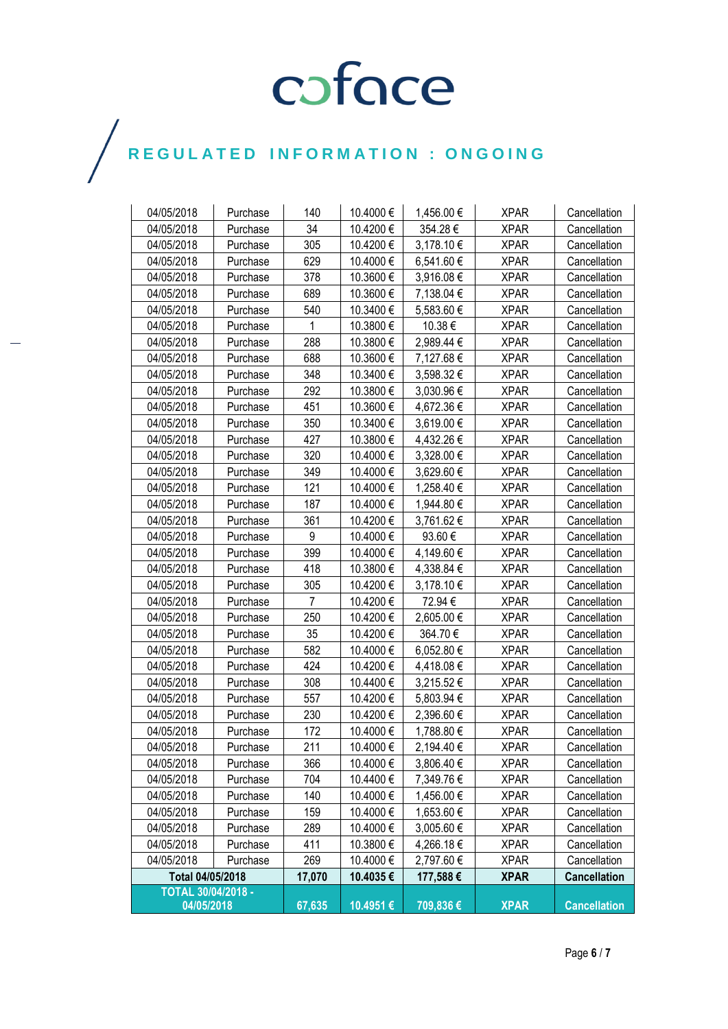| 04/05/2018         | Purchase | 140            | 10.4000 € | 1,456.00 € | <b>XPAR</b> | Cancellation        |
|--------------------|----------|----------------|-----------|------------|-------------|---------------------|
| 04/05/2018         | Purchase | 34             | 10.4200€  | 354.28€    | <b>XPAR</b> | Cancellation        |
| 04/05/2018         | Purchase | 305            | 10.4200€  | 3,178.10 € | <b>XPAR</b> | Cancellation        |
| 04/05/2018         | Purchase | 629            | 10.4000€  | 6,541.60€  | <b>XPAR</b> | Cancellation        |
| 04/05/2018         | Purchase | 378            | 10.3600€  | 3,916.08€  | <b>XPAR</b> | Cancellation        |
| 04/05/2018         | Purchase | 689            | 10.3600 € | 7,138.04 € | <b>XPAR</b> | Cancellation        |
| 04/05/2018         | Purchase | 540            | 10.3400 € | 5,583.60 € | <b>XPAR</b> | Cancellation        |
| 04/05/2018         | Purchase | 1              | 10.3800€  | 10.38€     | <b>XPAR</b> | Cancellation        |
| 04/05/2018         | Purchase | 288            | 10.3800€  | 2,989.44 € | <b>XPAR</b> | Cancellation        |
| 04/05/2018         | Purchase | 688            | 10.3600€  | 7,127.68€  | <b>XPAR</b> | Cancellation        |
| 04/05/2018         | Purchase | 348            | 10.3400€  | 3,598.32 € | <b>XPAR</b> | Cancellation        |
| 04/05/2018         | Purchase | 292            | 10.3800 € | 3,030.96 € | <b>XPAR</b> | Cancellation        |
| 04/05/2018         | Purchase | 451            | 10.3600€  | 4,672.36€  | <b>XPAR</b> | Cancellation        |
| 04/05/2018         | Purchase | 350            | 10.3400€  | 3,619.00 € | <b>XPAR</b> | Cancellation        |
| 04/05/2018         | Purchase | 427            | 10.3800€  | 4,432.26 € | <b>XPAR</b> | Cancellation        |
| 04/05/2018         | Purchase | 320            | 10.4000 € | 3,328.00 € | <b>XPAR</b> | Cancellation        |
| 04/05/2018         | Purchase | 349            | 10.4000 € | 3,629.60 € | <b>XPAR</b> | Cancellation        |
| 04/05/2018         | Purchase | 121            | 10.4000 € | 1,258.40 € | <b>XPAR</b> | Cancellation        |
| 04/05/2018         | Purchase | 187            | 10.4000 € | 1,944.80 € | <b>XPAR</b> | Cancellation        |
| 04/05/2018         | Purchase | 361            | 10.4200€  | 3,761.62€  | <b>XPAR</b> | Cancellation        |
| 04/05/2018         | Purchase | 9              | 10.4000 € | 93.60€     | <b>XPAR</b> | Cancellation        |
| 04/05/2018         | Purchase | 399            | 10.4000€  | 4,149.60 € | <b>XPAR</b> | Cancellation        |
| 04/05/2018         | Purchase | 418            | 10.3800 € | 4,338.84 € | <b>XPAR</b> | Cancellation        |
| 04/05/2018         | Purchase | 305            | 10.4200 € | 3,178.10 € | <b>XPAR</b> | Cancellation        |
| 04/05/2018         | Purchase | $\overline{7}$ | 10.4200€  | 72.94 €    | <b>XPAR</b> | Cancellation        |
| 04/05/2018         | Purchase | 250            | 10.4200€  | 2,605.00 € | <b>XPAR</b> | Cancellation        |
| 04/05/2018         | Purchase | 35             | 10.4200€  | 364.70€    | <b>XPAR</b> | Cancellation        |
| 04/05/2018         | Purchase | 582            | 10.4000 € | 6,052.80 € | <b>XPAR</b> | Cancellation        |
| 04/05/2018         | Purchase | 424            | 10.4200€  | 4,418.08€  | <b>XPAR</b> | Cancellation        |
| 04/05/2018         | Purchase | 308            | 10.4400 € | 3,215.52€  | <b>XPAR</b> | Cancellation        |
| 04/05/2018         | Purchase | 557            | 10.4200€  | 5,803.94 € | <b>XPAR</b> | Cancellation        |
| 04/05/2018         | Purchase | 230            | 10.4200€  | 2,396.60 € | <b>XPAR</b> | Cancellation        |
| 04/05/2018         | Purchase | 172            | 10.4000€  | 1,788.80 € | <b>XPAR</b> | Cancellation        |
| 04/05/2018         | Purchase | 211            | 10.4000€  | 2,194.40€  | <b>XPAR</b> | Cancellation        |
| 04/05/2018         | Purchase | 366            | 10.4000 € | 3,806.40 € | <b>XPAR</b> | Cancellation        |
| 04/05/2018         | Purchase | 704            | 10.4400 € | 7,349.76 € | <b>XPAR</b> | Cancellation        |
| 04/05/2018         | Purchase | 140            | 10.4000 € | 1,456.00 € | <b>XPAR</b> | Cancellation        |
| 04/05/2018         | Purchase | 159            | 10.4000 € | 1,653.60 € | <b>XPAR</b> | Cancellation        |
| 04/05/2018         | Purchase | 289            | 10.4000 € | 3,005.60 € | <b>XPAR</b> | Cancellation        |
| 04/05/2018         | Purchase | 411            | 10.3800 € | 4,266.18€  | <b>XPAR</b> | Cancellation        |
| 04/05/2018         | Purchase | 269            | 10.4000 € | 2,797.60 € | <b>XPAR</b> | Cancellation        |
| Total 04/05/2018   |          | 17,070         | 10.4035€  | 177,588€   | <b>XPAR</b> | <b>Cancellation</b> |
| TOTAL 30/04/2018 - |          |                |           |            |             |                     |
| 04/05/2018         |          | 67,635         | 10.4951€  | 709,836€   | <b>XPAR</b> | <b>Cancellation</b> |